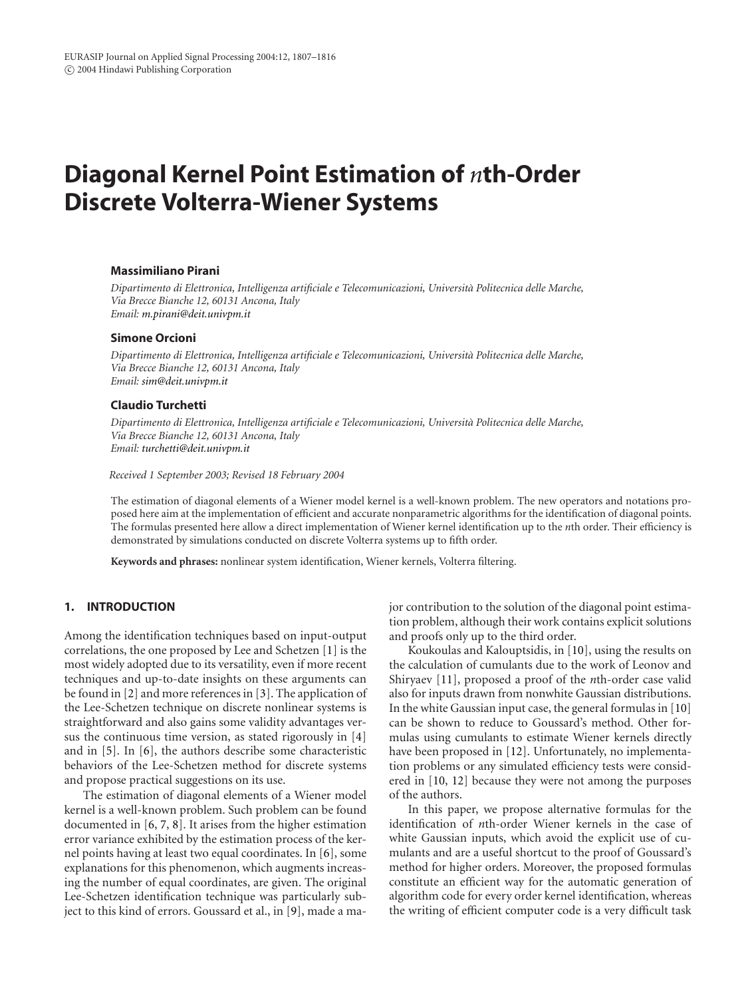# **Diagonal Kernel Point Estimation of** *n***th-Order Discrete Volterra-Wiener Systems**

#### **Massimiliano Pirani**

*Dipartimento di Elettronica, Intelligenza artificiale e Telecomunicazioni, Universita Politecnica delle Marche, ` Via Brecce Bianche 12, 60131 Ancona, Italy Email: [m.pirani@deit.univpm.it](mailto:m.pirani@deit.univpm.it)*

#### **Simone Orcioni**

*Dipartimento di Elettronica, Intelligenza artificiale e Telecomunicazioni, Universita Politecnica delle Marche, ` Via Brecce Bianche 12, 60131 Ancona, Italy Email: [sim@deit.univpm.it](mailto:sim@deit.univpm.it)*

#### **Claudio Turchetti**

*Dipartimento di Elettronica, Intelligenza artificiale e Telecomunicazioni, Universita Politecnica delle Marche, ` Via Brecce Bianche 12, 60131 Ancona, Italy Email: [turchetti@deit.univpm.it](mailto:turchetti@deit.univpm.it)*

*Received 1 September 2003; Revised 18 February 2004*

The estimation of diagonal elements of a Wiener model kernel is a well-known problem. The new operators and notations proposed here aim at the implementation of efficient and accurate nonparametric algorithms for the identification of diagonal points. The formulas presented here allow a direct implementation of Wiener kernel identification up to the *n*th order. Their efficiency is demonstrated by simulations conducted on discrete Volterra systems up to fifth order.

**Keywords and phrases:** nonlinear system identification, Wiener kernels, Volterra filtering.

## **1. INTRODUCTION**

Among the identification techniques based on input-output correlations, the one proposed by Lee and Schetzen [\[1](#page-9-0)] is the most widely adopted due to its versatility, even if more recent techniques and up-to-date insights on these arguments can be found in [\[2](#page-9-1)] and more references in [\[3](#page-9-2)]. The application of the Lee-Schetzen technique on discrete nonlinear systems is straightforward and also gains some validity advantages versus the continuous time version, as stated rigorously in [\[4](#page-9-3)] and in [\[5](#page-9-4)]. In [\[6\]](#page-9-5), the authors describe some characteristic behaviors of the Lee-Schetzen method for discrete systems and propose practical suggestions on its use.

The estimation of diagonal elements of a Wiener model kernel is a well-known problem. Such problem can be found documented in [\[6,](#page-9-5) [7](#page-9-6), [8\]](#page-9-7). It arises from the higher estimation error variance exhibited by the estimation process of the kernel points having at least two equal coordinates. In [\[6\]](#page-9-5), some explanations for this phenomenon, which augments increasing the number of equal coordinates, are given. The original Lee-Schetzen identification technique was particularly subject to this kind of errors. Goussard et al., in [\[9\]](#page-9-8), made a major contribution to the solution of the diagonal point estimation problem, although their work contains explicit solutions and proofs only up to the third order.

Koukoulas and Kalouptsidis, in [\[10\]](#page-9-9), using the results on the calculation of cumulants due to the work of Leonov and Shiryaev [\[11\]](#page-9-10), proposed a proof of the *n*th-order case valid also for inputs drawn from nonwhite Gaussian distributions. In the white Gaussian input case, the general formulas in [\[10](#page-9-9)] can be shown to reduce to Goussard's method. Other formulas using cumulants to estimate Wiener kernels directly have been proposed in [\[12\]](#page-9-11). Unfortunately, no implementation problems or any simulated efficiency tests were considered in [\[10](#page-9-9), [12](#page-9-11)] because they were not among the purposes of the authors.

In this paper, we propose alternative formulas for the identification of *n*th-order Wiener kernels in the case of white Gaussian inputs, which avoid the explicit use of cumulants and are a useful shortcut to the proof of Goussard's method for higher orders. Moreover, the proposed formulas constitute an efficient way for the automatic generation of algorithm code for every order kernel identification, whereas the writing of efficient computer code is a very difficult task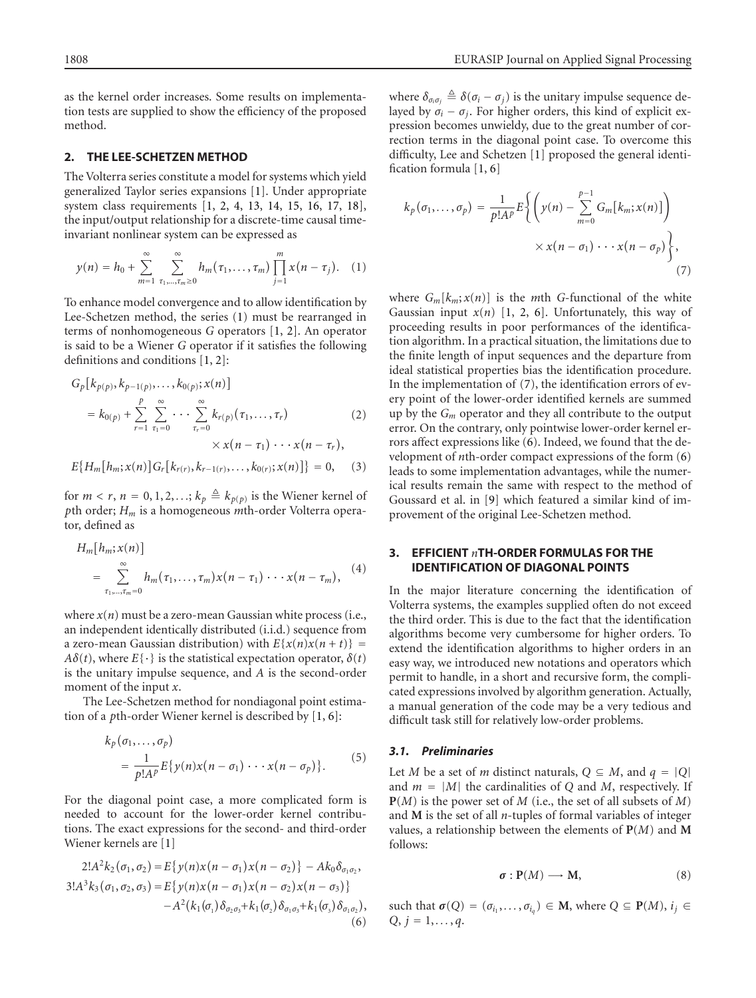as the kernel order increases. Some results on implementation tests are supplied to show the efficiency of the proposed method.

#### **2. THE LEE-SCHETZEN METHOD**

The Volterra series constitute a model for systems which yield generalized Taylor series expansions [\[1](#page-9-0)]. Under appropriate system class requirements [\[1,](#page-9-0) [2,](#page-9-1) [4,](#page-9-3) [13](#page-9-12), [14](#page-9-13), [15,](#page-9-14) [16](#page-9-15), [17](#page-9-16), [18\]](#page-9-17), the input/output relationship for a discrete-time causal timeinvariant nonlinear system can be expressed as

<span id="page-1-0"></span>
$$
y(n) = h_0 + \sum_{m=1}^{\infty} \sum_{\tau_1, ..., \tau_m \ge 0}^{\infty} h_m(\tau_1, ..., \tau_m) \prod_{j=1}^{m} x(n - \tau_j).
$$
 (1)

To enhance model convergence and to allow identification by Lee-Schetzen method, the series [\(1\)](#page-1-0) must be rearranged in terms of nonhomogeneous *G* operators [\[1](#page-9-0), [2\]](#page-9-1). An operator is said to be a Wiener *G* operator if it satisfies the following definitions and conditions [\[1](#page-9-0), [2\]](#page-9-1):

$$
G_p[k_{p(p)}, k_{p-1(p)}, \ldots, k_{0(p)}; x(n)]
$$
  
=  $k_{0(p)} + \sum_{r=1}^p \sum_{\tau_1=0}^{\infty} \cdots \sum_{\tau_r=0}^{\infty} k_{r(p)}(\tau_1, \ldots, \tau_r)$  (2)  
 $\times x(n - \tau_1) \cdots x(n - \tau_r),$ 

$$
E\{H_m[h_m; x(n)]G_r[k_{r(r)}, k_{r-1(r)}, \dots, k_{0(r)}; x(n)]\} = 0, \quad (3)
$$

for  $m < r$ ,  $n = 0, 1, 2, \ldots; k_p \triangleq k_{p(p)}$  is the Wiener kernel of *p*th order; *Hm* is a homogeneous *m*th-order Volterra operator, defined as

$$
H_m[h_m; x(n)]
$$
  
= 
$$
\sum_{\tau_1,\ldots,\tau_m=0}^{\infty} h_m(\tau_1,\ldots,\tau_m)x(n-\tau_1)\cdots x(n-\tau_m),
$$
 (4)

where  $x(n)$  must be a zero-mean Gaussian white process (i.e., an independent identically distributed (i.i.d.) sequence from a zero-mean Gaussian distribution) with  $E\{x(n)x(n + t)\}$ *Aδ*(*t*), where  $E\{\cdot\}$  is the statistical expectation operator,  $\delta(t)$ is the unitary impulse sequence, and *A* is the second-order moment of the input *x*.

The Lee-Schetzen method for nondiagonal point estimation of a *p*th-order Wiener kernel is described by [\[1,](#page-9-0) [6](#page-9-5)]:

$$
k_p(\sigma_1, ..., \sigma_p)
$$
  
= 
$$
\frac{1}{p!A^p} E\{y(n)x(n-\sigma_1) \cdots x(n-\sigma_p)\}.
$$
 (5)

For the diagonal point case, a more complicated form is needed to account for the lower-order kernel contributions. The exact expressions for the second- and third-order Wiener kernels are [\[1\]](#page-9-0)

$$
2!A^{2}k_{2}(\sigma_{1},\sigma_{2}) = E\{y(n)x(n-\sigma_{1})x(n-\sigma_{2})\} - Ak_{0}\delta_{\sigma_{1}\sigma_{2}},
$$
  
\n
$$
3!A^{3}k_{3}(\sigma_{1},\sigma_{2},\sigma_{3}) = E\{y(n)x(n-\sigma_{1})x(n-\sigma_{2})x(n-\sigma_{3})\} - A^{2}(k_{1}(\sigma_{1})\delta_{\sigma_{2}\sigma_{3}} + k_{1}(\sigma_{2})\delta_{\sigma_{1}\sigma_{3}} + k_{1}(\sigma_{3})\delta_{\sigma_{1}\sigma_{2}}),
$$
\n(6)

where  $\delta_{\sigma_i \sigma_j} \triangleq \delta(\sigma_i - \sigma_j)$  is the unitary impulse sequence delayed by  $\sigma_i - \sigma_j$ . For higher orders, this kind of explicit expression becomes unwieldy, due to the great number of correction terms in the diagonal point case. To overcome this difficulty, Lee and Schetzen [\[1](#page-9-0)] proposed the general identification formula [\[1](#page-9-0), [6\]](#page-9-5)

<span id="page-1-1"></span>
$$
k_p(\sigma_1,\ldots,\sigma_p) = \frac{1}{p!A^p} E\bigg\{ \bigg( y(n) - \sum_{m=0}^{p-1} G_m[k_m; x(n)] \bigg) \times x(n - \sigma_1) \cdots x(n - \sigma_p) \bigg\},\tag{7}
$$

<span id="page-1-3"></span>where  $G_m[k_m; x(n)]$  is the *m*th *G*-functional of the white Gaussian input  $x(n)$  [\[1](#page-9-0), [2,](#page-9-1) [6](#page-9-5)]. Unfortunately, this way of proceeding results in poor performances of the identification algorithm. In a practical situation, the limitations due to the finite length of input sequences and the departure from ideal statistical properties bias the identification procedure. In the implementation of [\(7\)](#page-1-1), the identification errors of every point of the lower-order identified kernels are summed up by the *Gm* operator and they all contribute to the output error. On the contrary, only pointwise lower-order kernel errors affect expressions like [\(6\)](#page-1-2). Indeed, we found that the development of *n*th-order compact expressions of the form [\(6\)](#page-1-2) leads to some implementation advantages, while the numerical results remain the same with respect to the method of Goussard et al. in [\[9\]](#page-9-8) which featured a similar kind of improvement of the original Lee-Schetzen method.

## **3. EFFICIENT** *n***TH-ORDER FORMULAS FOR THE IDENTIFICATION OF DIAGONAL POINTS**

In the major literature concerning the identification of Volterra systems, the examples supplied often do not exceed the third order. This is due to the fact that the identification algorithms become very cumbersome for higher orders. To extend the identification algorithms to higher orders in an easy way, we introduced new notations and operators which permit to handle, in a short and recursive form, the complicated expressions involved by algorithm generation. Actually, a manual generation of the code may be a very tedious and difficult task still for relatively low-order problems.

#### *3.1. Preliminaries*

Let *M* be a set of *m* distinct naturals,  $Q \subseteq M$ , and  $q = |Q|$ and  $m = |M|$  the cardinalities of *Q* and *M*, respectively. If **P**(*M*) is the power set of *M* (i.e., the set of all subsets of *M*) and **M** is the set of all *n*-tuples of formal variables of integer values, a relationship between the elements of **P**(*M*) and **M** follows:

$$
\sigma: \mathbf{P}(M) \longrightarrow \mathbf{M},\tag{8}
$$

<span id="page-1-2"></span>such that  $\sigma(Q) = (\sigma_{i_1}, \ldots, \sigma_{i_q}) \in M$ , where  $Q \subseteq P(M)$ ,  $i_j \in$  $Q, j = 1, \ldots, q.$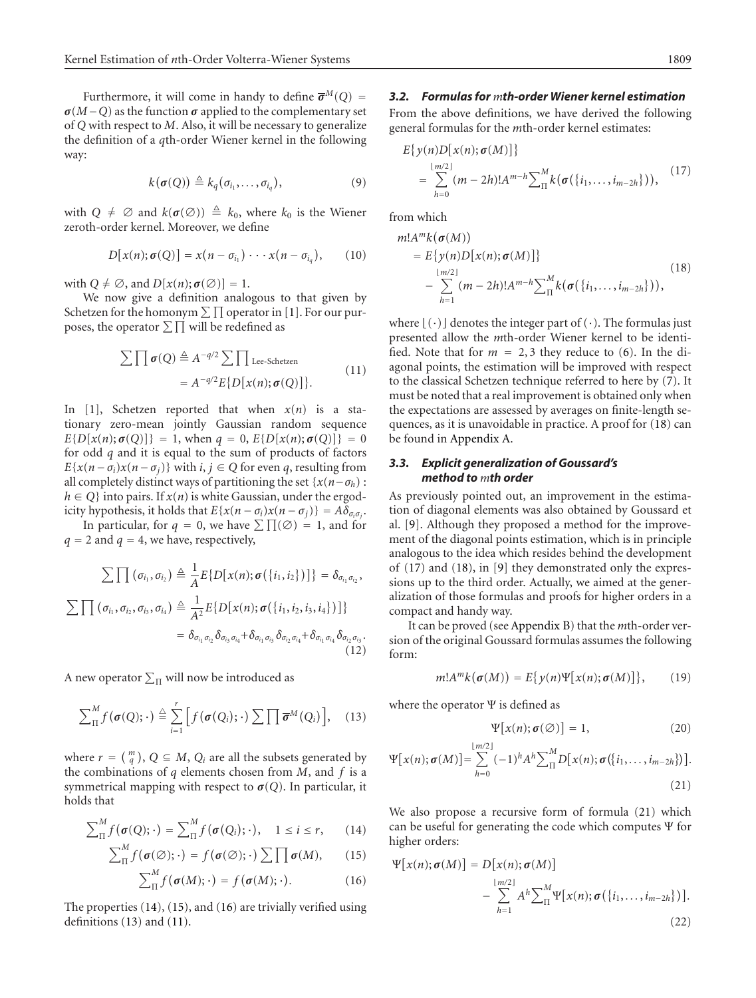Furthermore, it will come in handy to define  $\bar{\sigma}^M(Q)$  =  $\sigma$ (*M*−*Q*) as the function  $\sigma$  applied to the complementary set of *Q* with respect to *M*. Also, it will be necessary to generalize the definition of a *q*th-order Wiener kernel in the following way:

<span id="page-2-12"></span>
$$
k(\sigma(Q)) \triangleq k_q(\sigma_{i_1},\ldots,\sigma_{i_q}),
$$
\n(9)

with  $Q \neq \emptyset$  and  $k(\sigma(\emptyset)) \triangleq k_0$ , where  $k_0$  is the Wiener zeroth-order kernel. Moreover, we define

$$
D[x(n);\sigma(Q)] = x(n - \sigma_{i_1}) \cdots x(n - \sigma_{i_q}), \qquad (10)
$$

with  $Q \neq \emptyset$ , and  $D[x(n);\sigma(\emptyset)] = 1$ .

We now give a definition analogous to that given by Schetzen for the homonym  $\sum \prod$  operator in [\[1](#page-9-0)]. For our purposes, the operator  $\Sigma \prod$  will be redefined as

<span id="page-2-4"></span>
$$
\sum \prod \sigma(Q) \triangleq A^{-q/2} \sum \prod \text{Lee-Schetzen}
$$
  
=  $A^{-q/2} E\{D[x(n); \sigma(Q)]\}.$  (11)

In [\[1\]](#page-9-0), Schetzen reported that when  $x(n)$  is a stationary zero-mean jointly Gaussian random sequence  $E\{D[x(n); \sigma(Q)]\} = 1$ , when  $q = 0$ ,  $E\{D[x(n); \sigma(Q)]\} = 0$ for odd *q* and it is equal to the sum of products of factors  $E{x(n - \sigma_i)x(n - \sigma_j)}$  with *i*, *j* ∈ *Q* for even *q*, resulting from all completely distinct ways of partitioning the set  ${x(n - \sigma_h)}$ :  $h \in Q$ } into pairs. If  $x(n)$  is white Gaussian, under the ergodicity hypothesis, it holds that  $E\{x(n - \sigma_i)x(n - \sigma_j)\} = A\delta_{\sigma_i\sigma_j}$ .

In particular, for  $q = 0$ , we have  $\sum \prod (\emptyset) = 1$ , and for  $q = 2$  and  $q = 4$ , we have, respectively,

$$
\sum \prod (\sigma_{i_1}, \sigma_{i_2}) \triangleq \frac{1}{A} E\{D[x(n); \sigma(\{i_1, i_2\})]\} = \delta_{\sigma_{i_1}\sigma_{i_2}},
$$
\n
$$
\sum \prod (\sigma_{i_1}, \sigma_{i_2}, \sigma_{i_3}, \sigma_{i_4}) \triangleq \frac{1}{A^2} E\{D[x(n); \sigma(\{i_1, i_2, i_3, i_4\})]\}
$$
\n
$$
= \delta_{\sigma_{i_1}\sigma_{i_2}} \delta_{\sigma_{i_3}\sigma_{i_4}} + \delta_{\sigma_{i_1}\sigma_{i_3}} \delta_{\sigma_{i_2}\sigma_{i_4}} + \delta_{\sigma_{i_1}\sigma_{i_4}} \delta_{\sigma_{i_2}\sigma_{i_3}}.
$$
\n(12)

A new operator  $\sum_{\Pi}$  will now be introduced as

<span id="page-2-3"></span>
$$
\sum_{\Pi}^{M} f(\boldsymbol{\sigma}(Q); \cdot) \stackrel{\triangle}{=} \sum_{i=1}^{r} \Big[ f(\boldsymbol{\sigma}(Q_i); \cdot) \sum \prod \boldsymbol{\overline{\sigma}}^{M}(Q_i) \Big], \quad (13)
$$

where  $r = \binom{m}{q}$ ,  $Q \subseteq M$ ,  $Q_i$  are all the subsets generated by the combinations of *q* elements chosen from *M*, and *f* is a symmetrical mapping with respect to  $\sigma(Q)$ . In particular, it holds that

$$
\sum_{\Pi}^{M} f(\boldsymbol{\sigma}(Q); \cdot) = \sum_{\Pi}^{M} f(\boldsymbol{\sigma}(Q_i); \cdot), \quad 1 \leq i \leq r, \qquad (14)
$$

$$
\sum_{\Pi}^{M} f(\boldsymbol{\sigma}(\emptyset);\cdot) = f(\boldsymbol{\sigma}(\emptyset);\cdot) \sum \prod \boldsymbol{\sigma}(M), \qquad (15)
$$

<span id="page-2-2"></span><span id="page-2-1"></span>
$$
\sum_{\Pi}^{M} f(\boldsymbol{\sigma}(M); \cdot) = f(\boldsymbol{\sigma}(M); \cdot). \tag{16}
$$

The properties [\(14\)](#page-2-0), [\(15\)](#page-2-1), and [\(16\)](#page-2-2) are trivially verified using definitions [\(13\)](#page-2-3) and [\(11\)](#page-2-4).

## *3.2. Formulas for mth-order Wiener kernel estimation*

From the above definitions, we have derived the following general formulas for the *m*th-order kernel estimates:

<span id="page-2-6"></span>
$$
E\{y(n)D[x(n);\sigma(M)]\}
$$
  
=  $\sum_{h=0}^{\lfloor m/2 \rfloor} (m-2h)! A^{m-h} \sum_{\Pi}^{M} k(\sigma(\{i_1,\ldots,i_{m-2h}\})),$  (17)

from which

<span id="page-2-5"></span>
$$
m!A^{m}k(\sigma(M))
$$
  
=  $E\{y(n)D[x(n);\sigma(M)]\}$   

$$
- \sum_{h=1}^{\lfloor m/2 \rfloor} (m-2h)!A^{m-h} \sum_{\Pi}^{M} k(\sigma(\{i_1,\ldots,i_{m-2h}\})),
$$
 (18)

where  $\lfloor (\cdot) \rfloor$  denotes the integer part of  $(\cdot)$ . The formulas just presented allow the *m*th-order Wiener kernel to be identified. Note that for  $m = 2, 3$  they reduce to [\(6\)](#page-1-2). In the diagonal points, the estimation will be improved with respect to the classical Schetzen technique referred to here by [\(7\)](#page-1-1). It must be noted that a real improvement is obtained only when the expectations are assessed by averages on finite-length sequences, as it is unavoidable in practice. A proof for [\(18\)](#page-2-5) can be found in [Appendix A.](#page-5-0)

## <span id="page-2-11"></span>*3.3. Explicit generalization of Goussard's method to mth order*

As previously pointed out, an improvement in the estimation of diagonal elements was also obtained by Goussard et al. [\[9\]](#page-9-8). Although they proposed a method for the improvement of the diagonal points estimation, which is in principle analogous to the idea which resides behind the development of [\(17\)](#page-2-6) and [\(18\)](#page-2-5), in [\[9\]](#page-9-8) they demonstrated only the expressions up to the third order. Actually, we aimed at the generalization of those formulas and proofs for higher orders in a compact and handy way.

It can be proved (see [Appendix B\)](#page-7-0) that the *m*th-order version of the original Goussard formulas assumes the following form:

$$
m!A^m k(\sigma(M)) = E\{y(n)\Psi[x(n);\sigma(M)]\},\qquad(19)
$$

where the operator Ψ is defined as

<span id="page-2-9"></span><span id="page-2-8"></span><span id="page-2-7"></span>
$$
\Psi[x(n); \sigma(\emptyset)] = 1, \tag{20}
$$

$$
\Psi[x(n);\sigma(M)] = \sum_{h=0}^{\lfloor m/2 \rfloor} (-1)^h A^h \sum_{\Pi}^{M} D[x(n);\sigma(\{i_1,\ldots,i_{m-2h}\})].
$$
\n(21)

<span id="page-2-0"></span>We also propose a recursive form of formula [\(21\)](#page-2-7) which can be useful for generating the code which computes Ψ for higher orders:

<span id="page-2-10"></span>
$$
\Psi[x(n);\sigma(M)] = D[x(n);\sigma(M)]
$$
  

$$
- \sum_{h=1}^{\lfloor m/2 \rfloor} A^h \sum_{\Pi}^M \Psi[x(n);\sigma(\{i_1,\ldots,i_{m-2h}\})].
$$
  
(22)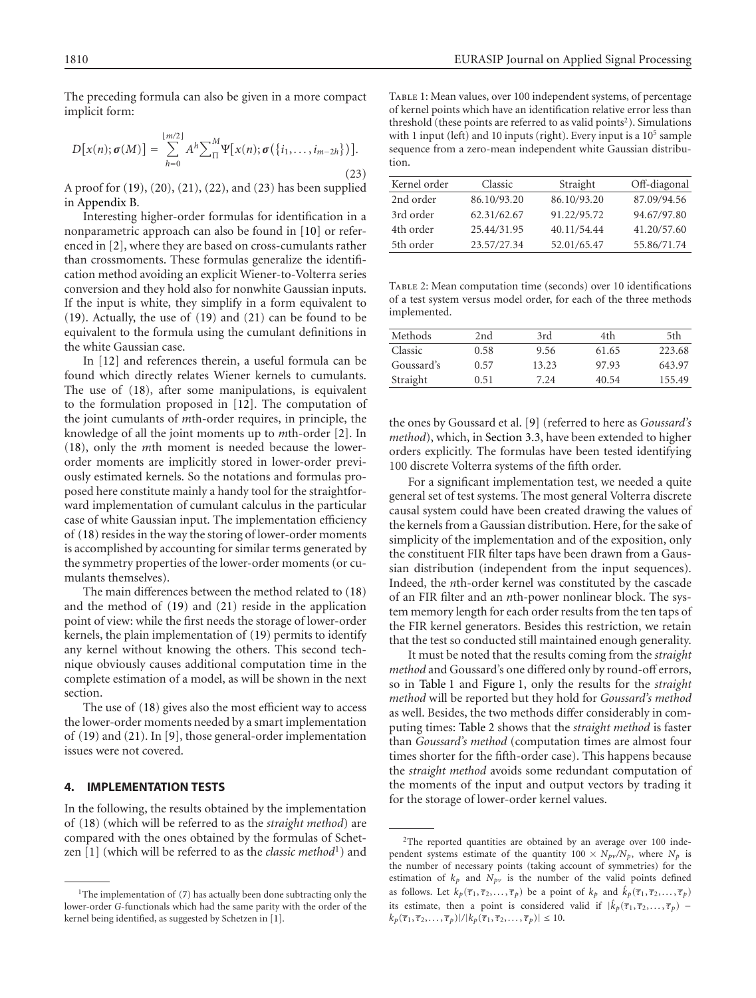<span id="page-3-0"></span>The preceding formula can also be given in a more compact implicit form:

$$
D[x(n);\boldsymbol{\sigma}(M)] = \sum_{h=0}^{\lfloor m/2 \rfloor} A^h \sum_{\Pi}^M \Psi[x(n);\boldsymbol{\sigma}(\{i_1,\ldots,i_{m-2h}\})].
$$
\n(23)

A proof for [\(19\)](#page-2-8), [\(20\)](#page-2-9), [\(21\)](#page-2-7), [\(22\)](#page-2-10), and [\(23\)](#page-3-0) has been supplied in [Appendix B.](#page-7-0)

Interesting higher-order formulas for identification in a nonparametric approach can also be found in [\[10](#page-9-9)] or referenced in [\[2\]](#page-9-1), where they are based on cross-cumulants rather than crossmoments. These formulas generalize the identification method avoiding an explicit Wiener-to-Volterra series conversion and they hold also for nonwhite Gaussian inputs. If the input is white, they simplify in a form equivalent to [\(19\)](#page-2-8). Actually, the use of [\(19\)](#page-2-8) and [\(21\)](#page-2-7) can be found to be equivalent to the formula using the cumulant definitions in the white Gaussian case.

In [\[12](#page-9-11)] and references therein, a useful formula can be found which directly relates Wiener kernels to cumulants. The use of [\(18\)](#page-2-5), after some manipulations, is equivalent to the formulation proposed in [\[12](#page-9-11)]. The computation of the joint cumulants of *m*th-order requires, in principle, the knowledge of all the joint moments up to *m*th-order [\[2\]](#page-9-1). In [\(18\)](#page-2-5), only the *m*th moment is needed because the lowerorder moments are implicitly stored in lower-order previously estimated kernels. So the notations and formulas proposed here constitute mainly a handy tool for the straightforward implementation of cumulant calculus in the particular case of white Gaussian input. The implementation efficiency of [\(18\)](#page-2-5) resides in the way the storing of lower-order moments is accomplished by accounting for similar terms generated by the symmetry properties of the lower-order moments (or cumulants themselves).

The main differences between the method related to [\(18\)](#page-2-5) and the method of [\(19\)](#page-2-8) and [\(21\)](#page-2-7) reside in the application point of view: while the first needs the storage of lower-order kernels, the plain implementation of [\(19\)](#page-2-8) permits to identify any kernel without knowing the others. This second technique obviously causes additional computation time in the complete estimation of a model, as will be shown in the next section.

The use of [\(18\)](#page-2-5) gives also the most efficient way to access the lower-order moments needed by a smart implementation of [\(19\)](#page-2-8) and [\(21\)](#page-2-7). In [\[9\]](#page-9-8), those general-order implementation issues were not covered.

## **4. IMPLEMENTATION TESTS**

In the following, the results obtained by the implementation of [\(18\)](#page-2-5) (which will be referred to as the *straight method*) are compared with the ones obtained by the formulas of Schet-zen [\[1\]](#page-9-0) (which will be referred to as the *classic method*<sup>1</sup>) and

<span id="page-3-1"></span>Table 1: Mean values, over 100 independent systems, of percentage of kernel points which have an identification relative error less than threshold (these points are referred to as valid points<sup>2</sup>). Simulations with 1 input (left) and 10 inputs (right). Every input is a  $10<sup>5</sup>$  sample sequence from a zero-mean independent white Gaussian distribution.

| Kernel order | Classic     | Straight    | Off-diagonal |
|--------------|-------------|-------------|--------------|
| 2nd order    | 86.10/93.20 | 86.10/93.20 | 87.09/94.56  |
| 3rd order    | 62.31/62.67 | 91.22/95.72 | 94.67/97.80  |
| 4th order    | 25.44/31.95 | 40.11/54.44 | 41.20/57.60  |
| 5th order    | 23.57/27.34 | 52.01/65.47 | 55.86/71.74  |

<span id="page-3-2"></span>Table 2: Mean computation time (seconds) over 10 identifications of a test system versus model order, for each of the three methods implemented.

| Methods    | 2nd  | 3rd   | 4th   | 5th    |
|------------|------|-------|-------|--------|
| Classic    | 0.58 | 9.56  | 61.65 | 223.68 |
| Goussard's | 0.57 | 13.23 | 97.93 | 643.97 |
| Straight   | 0.51 | 7.24  | 40.54 | 155.49 |

the ones by Goussard et al. [\[9](#page-9-8)] (referred to here as *Goussard's method*), which, in [Section 3.3,](#page-2-11) have been extended to higher orders explicitly. The formulas have been tested identifying 100 discrete Volterra systems of the fifth order.

For a significant implementation test, we needed a quite general set of test systems. The most general Volterra discrete causal system could have been created drawing the values of the kernels from a Gaussian distribution. Here, for the sake of simplicity of the implementation and of the exposition, only the constituent FIR filter taps have been drawn from a Gaussian distribution (independent from the input sequences). Indeed, the *n*th-order kernel was constituted by the cascade of an FIR filter and an *n*th-power nonlinear block. The system memory length for each order results from the ten taps of the FIR kernel generators. Besides this restriction, we retain that the test so conducted still maintained enough generality.

It must be noted that the results coming from the *straight method* and Goussard's one differed only by round-off errors, so in [Table 1](#page-3-1) and [Figure 1,](#page-4-0) only the results for the *straight method* will be reported but they hold for *Goussard's method* as well. Besides, the two methods differ considerably in computing times: [Table 2](#page-3-2) shows that the *straight method* is faster than *Goussard's method* (computation times are almost four times shorter for the fifth-order case). This happens because the *straight method* avoids some redundant computation of the moments of the input and output vectors by trading it for the storage of lower-order kernel values.

<sup>&</sup>lt;sup>1</sup>The implementation of  $(7)$  has actually been done subtracting only the lower-order *G*-functionals which had the same parity with the order of the kernel being identified, as suggested by Schetzen in [\[1](#page-9-0)].

<sup>2</sup>The reported quantities are obtained by an average over 100 independent systems estimate of the quantity  $100 \times N_{pv}/N_p$ , where  $N_p$  is the number of necessary points (taking account of symmetries) for the estimation of  $k_p$  and  $N_{pv}$  is the number of the valid points defined as follows. Let  $k_p(\overline{\tau}_1, \overline{\tau}_2, \dots, \overline{\tau}_p)$  be a point of  $k_p$  and  $\hat{k}_p(\overline{\tau}_1, \overline{\tau}_2, \dots, \overline{\tau}_p)$ its estimate, then a point is considered valid if  $|\hat{k}_p(\overline{\tau}_1, \overline{\tau}_2, \dots, \overline{\tau}_p)|$  $k_p(\overline{\tau}_1, \overline{\tau}_2, \ldots, \overline{\tau}_p)|/|k_p(\overline{\tau}_1, \overline{\tau}_2, \ldots, \overline{\tau}_p)| \le 10.$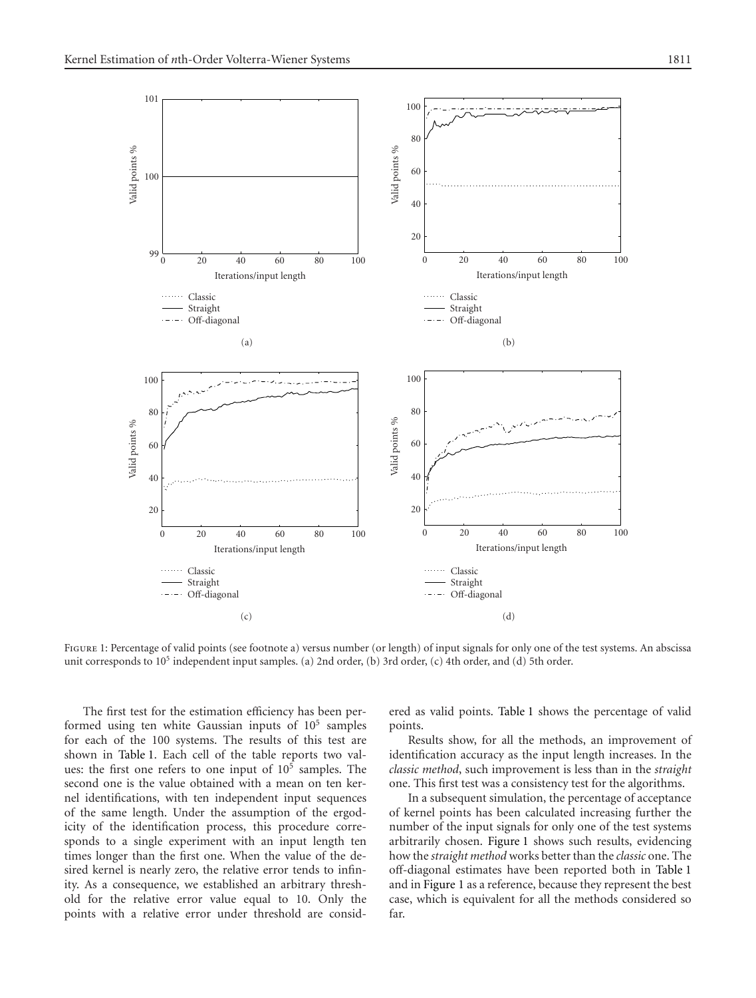

<span id="page-4-0"></span>FIGURE 1: Percentage of valid points (see footnote a) versus number (or length) of input signals for only one of the test systems. An abscissa unit corresponds to 105 independent input samples. (a) 2nd order, (b) 3rd order, (c) 4th order, and (d) 5th order.

The first test for the estimation efficiency has been performed using ten white Gaussian inputs of 105 samples for each of the 100 systems. The results of this test are shown in [Table 1.](#page-3-1) Each cell of the table reports two values: the first one refers to one input of 10<sup>5</sup> samples. The second one is the value obtained with a mean on ten kernel identifications, with ten independent input sequences of the same length. Under the assumption of the ergodicity of the identification process, this procedure corresponds to a single experiment with an input length ten times longer than the first one. When the value of the desired kernel is nearly zero, the relative error tends to infinity. As a consequence, we established an arbitrary threshold for the relative error value equal to 10. Only the points with a relative error under threshold are considered as valid points. [Table 1](#page-3-1) shows the percentage of valid points.

Results show, for all the methods, an improvement of identification accuracy as the input length increases. In the *classic method*, such improvement is less than in the *straight* one. This first test was a consistency test for the algorithms.

In a subsequent simulation, the percentage of acceptance of kernel points has been calculated increasing further the number of the input signals for only one of the test systems arbitrarily chosen. [Figure 1](#page-4-0) shows such results, evidencing how the *straight method* works better than the *classic* one. The off-diagonal estimates have been reported both in [Table 1](#page-3-1) and in [Figure 1](#page-4-0) as a reference, because they represent the best case, which is equivalent for all the methods considered so far.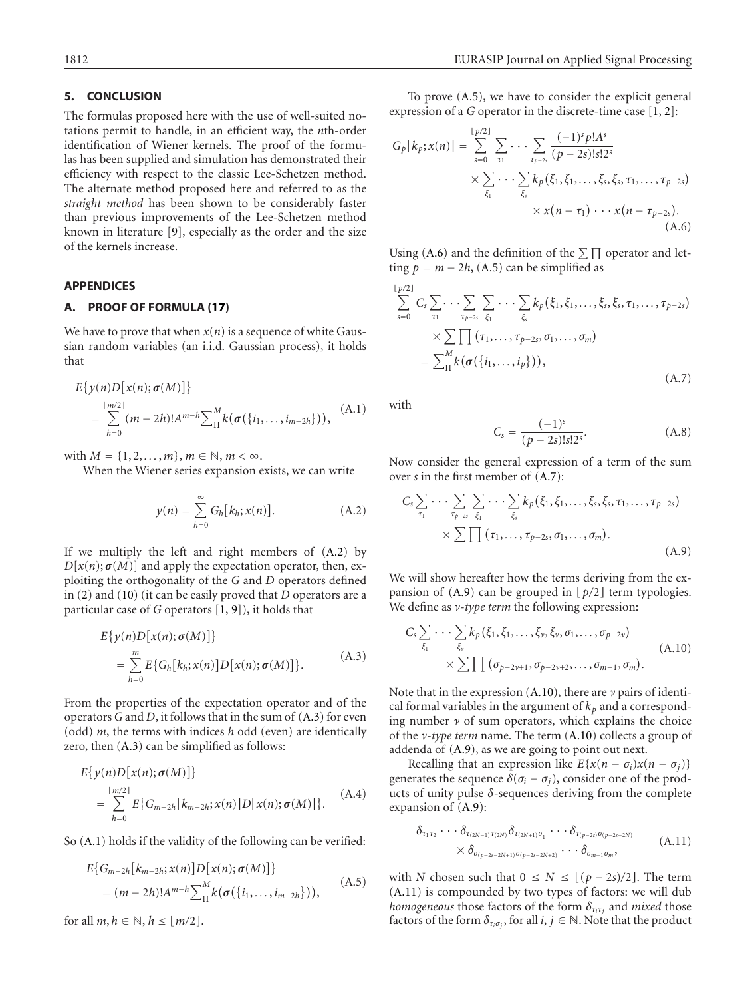# **5. CONCLUSION**

The formulas proposed here with the use of well-suited notations permit to handle, in an efficient way, the *n*th-order identification of Wiener kernels. The proof of the formulas has been supplied and simulation has demonstrated their efficiency with respect to the classic Lee-Schetzen method. The alternate method proposed here and referred to as the *straight method* has been shown to be considerably faster than previous improvements of the Lee-Schetzen method known in literature [\[9](#page-9-8)], especially as the order and the size of the kernels increase.

### <span id="page-5-0"></span>**APPENDICES**

## **A. PROOF OF FORMULA [\(17\)](#page-2-6)**

We have to prove that when  $x(n)$  is a sequence of white Gaussian random variables (an i.i.d. Gaussian process), it holds that

$$
E\{y(n)D[x(n);\sigma(M)]\}
$$
  
=  $\sum_{h=0}^{\lfloor m/2 \rfloor} (m-2h)! A^{m-h} \sum_{\Pi}^{M} k(\sigma(\{i_1,\ldots,i_{m-2h}\})),$  (A.1)

with  $M = \{1, 2, ..., m\}$ ,  $m \in \mathbb{N}$ ,  $m < \infty$ .

When the Wiener series expansion exists, we can write

<span id="page-5-1"></span>
$$
y(n) = \sum_{h=0}^{\infty} G_h[k_h; x(n)].
$$
 (A.2)

If we multiply the left and right members of [\(A.2\)](#page-5-1) by  $D[x(n); \sigma(M)]$  and apply the expectation operator, then, exploiting the orthogonality of the *G* and *D* operators defined in [\(2\)](#page-1-3) and [\(10\)](#page-2-12) (it can be easily proved that *D* operators are a particular case of *G* operators [\[1](#page-9-0), [9\]](#page-9-8)), it holds that

<span id="page-5-2"></span>
$$
E\{y(n)D[x(n);\boldsymbol{\sigma}(M)]\}
$$
  
= 
$$
\sum_{h=0}^{m} E\{G_h[k_h; x(n)]D[x(n);\boldsymbol{\sigma}(M)]\}.
$$
 (A.3)

From the properties of the expectation operator and of the operators *G* and *D*, it follows that in the sum of [\(A.3\)](#page-5-2) for even (odd) *m*, the terms with indices *h* odd (even) are identically zero, then [\(A.3\)](#page-5-2) can be simplified as follows:

$$
E\{y(n)D[x(n);\sigma(M)]\}
$$
  
= 
$$
\sum_{h=0}^{\lfloor m/2 \rfloor} E\{G_{m-2h}[k_{m-2h};x(n)]D[x(n);\sigma(M)]\}.
$$
 (A.4)

So [\(A.1\)](#page-5-3) holds if the validity of the following can be verified:

$$
E\{G_{m-2h}[k_{m-2h};x(n)]D[x(n);\sigma(M)]\}
$$
  
=  $(m-2h)!A^{m-h}\sum_{\Pi}^{M}k(\sigma(\{i_1,\ldots,i_{m-2h}\})),$  (A.5)

for all  $m, h \in \mathbb{N}, h \leq \lfloor m/2 \rfloor$ .

To prove [\(A.5\)](#page-5-4), we have to consider the explicit general expression of a *G* operator in the discrete-time case [\[1,](#page-9-0) [2](#page-9-1)]:

$$
G_p[k_p; x(n)] = \sum_{s=0}^{\lfloor p/2 \rfloor} \sum_{\tau_1} \cdots \sum_{\tau_{p-2s}} \frac{(-1)^s p! A^s}{(p-2s)! s! 2^s}
$$
  
 
$$
\times \sum_{\xi_1} \cdots \sum_{\xi_s} k_p(\xi_1, \xi_1, \ldots, \xi_s, \xi_s, \tau_1, \ldots, \tau_{p-2s})
$$
  
 
$$
\times x(n-\tau_1) \cdots x(n-\tau_{p-2s}). \tag{A.6}
$$

<span id="page-5-5"></span>Using [\(A.6\)](#page-5-5) and the definition of the  $\sum \prod$  operator and letting  $p = m - 2h$ , [\(A.5\)](#page-5-4) can be simplified as

$$
\sum_{s=0}^{\lfloor p/2 \rfloor} C_s \sum_{\tau_1} \cdots \sum_{\tau_{p-2s}} \sum_{\xi_1} \cdots \sum_{\xi_s} k_p(\xi_1, \xi_1, \ldots, \xi_s, \xi_s, \tau_1, \ldots, \tau_{p-2s})
$$
  
 
$$
\times \sum_{\tau_1} \prod_{\tau_2, \ldots, \tau_{p-2s}, \sigma_1, \ldots, \sigma_m} ( \chi_{\tau_1, \ldots, \tau_p})
$$
  
= 
$$
\sum_{\tau_1}^M k(\sigma(\{i_1, \ldots, i_p\})), \qquad (A.7)
$$

<span id="page-5-10"></span><span id="page-5-3"></span>with

<span id="page-5-7"></span><span id="page-5-6"></span>
$$
C_s = \frac{(-1)^s}{(p-2s)!s!2^s}.
$$
 (A.8)

Now consider the general expression of a term of the sum over *s* in the first member of [\(A.7\)](#page-5-6):

$$
C_s \sum_{\tau_1} \cdots \sum_{\tau_{p-2s}} \sum_{\xi_1} \cdots \sum_{\xi_s} k_p(\xi_1, \xi_1, \ldots, \xi_s, \xi_s, \tau_1, \ldots, \tau_{p-2s})
$$
  
 
$$
\times \sum \prod (\tau_1, \ldots, \tau_{p-2s}, \sigma_1, \ldots, \sigma_m).
$$
 (A.9)

We will show hereafter how the terms deriving from the expansion of  $(A.9)$  can be grouped in  $\lfloor p/2 \rfloor$  term typologies. We define as *ν-type term* the following expression:

<span id="page-5-8"></span>
$$
C_s \sum_{\xi_1} \cdots \sum_{\xi_\nu} k_p(\xi_1, \xi_1, \ldots, \xi_\nu, \xi_\nu, \sigma_1, \ldots, \sigma_{p-2\nu})
$$
  
 
$$
\times \sum \prod (\sigma_{p-2\nu+1}, \sigma_{p-2\nu+2}, \ldots, \sigma_{m-1}, \sigma_m).
$$
 (A.10)

Note that in the expression [\(A.10\)](#page-5-8), there are *ν* pairs of identical formal variables in the argument of  $k_p$  and a corresponding number *ν* of sum operators, which explains the choice of the *ν-type term* name. The term [\(A.10\)](#page-5-8) collects a group of addenda of [\(A.9\)](#page-5-7), as we are going to point out next.

Recalling that an expression like  $E\{x(n - \sigma_i)x(n - \sigma_i)\}\$ generates the sequence  $\delta(\sigma_i - \sigma_j)$ , consider one of the products of unity pulse *δ*-sequences deriving from the complete expansion of [\(A.9\)](#page-5-7):

<span id="page-5-9"></span>
$$
\begin{aligned}\n\delta_{\tau_1 \tau_2} \cdot \cdot \cdot \delta_{\tau_{(2N-1)}\tau_{(2N)}} \delta_{\tau_{(2N+1)}\sigma_1} \cdot \cdot \cdot \delta_{\tau_{(p-2s)}\sigma_{(p-2s-2N)}} \\
\times \delta_{\sigma_{(p-2s-2N+1)}\sigma_{(p-2s-2N+2)}} \cdot \cdot \cdot \delta_{\sigma_{m-1}\sigma_m},\n\end{aligned} (A.11)
$$

<span id="page-5-4"></span>with *N* chosen such that  $0 \le N \le \lfloor (p - 2s)/2 \rfloor$ . The term [\(A.11\)](#page-5-9) is compounded by two types of factors: we will dub *homogeneous* those factors of the form  $\delta_{\tau_i \tau_j}$  and *mixed* those factors of the form  $\delta_{\tau_i \sigma_j}$ , for all *i*,  $j \in \mathbb{N}$ . Note that the product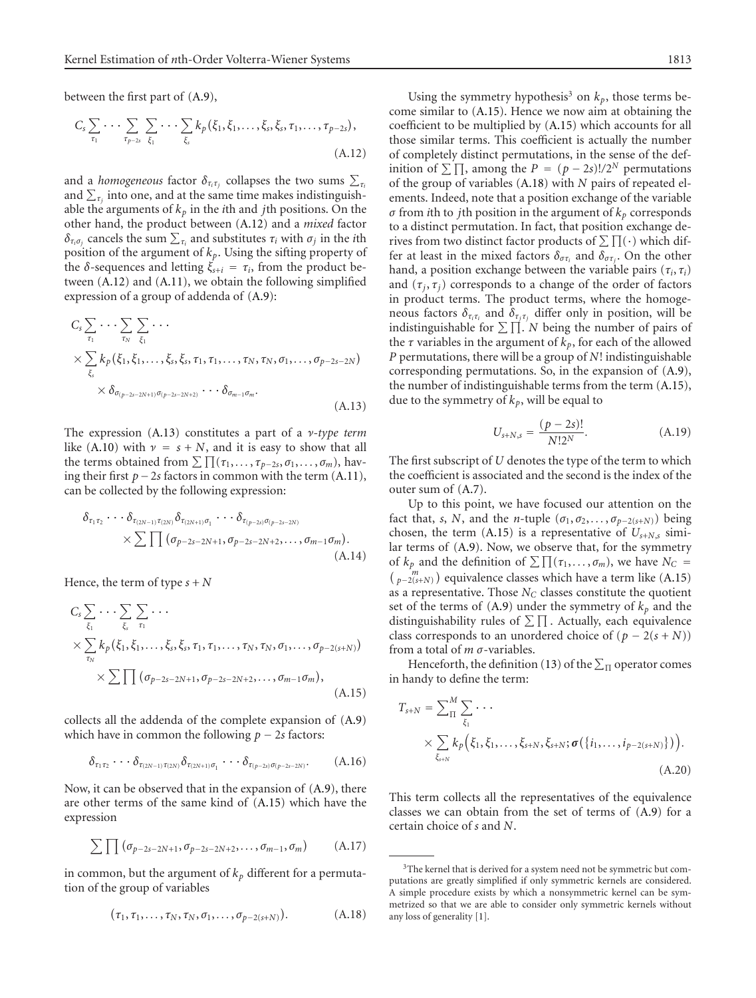between the first part of [\(A.9\)](#page-5-7),

$$
C_{s} \sum_{\tau_{1}} \cdots \sum_{\tau_{p-2s}} \sum_{\xi_{1}} \cdots \sum_{\xi_{s}} k_{p}(\xi_{1}, \xi_{1}, \ldots, \xi_{s}, \xi_{s}, \tau_{1}, \ldots, \tau_{p-2s}),
$$
\n(A.12)

and a *homogeneous* factor  $\delta_{\tau_i \tau_j}$  collapses the two sums  $\sum_{\tau_i}$ and  $\sum_{\tau_i}$  into one, and at the same time makes indistinguishable the arguments of  $k_p$  in the *i*th and *j*th positions. On the other hand, the product between [\(A.12\)](#page-6-0) and a *mixed* factor *δ*<sub>*τ<sub>i</sub>σ<sub><i>i*</sub></sub> cancels the sum  $\sum_{τ_i}$  and substitutes  $τ_i$  with  $σ_j$  in the *i*th</sub> position of the argument of  $k_p$ . Using the sifting property of the *δ*-sequences and letting  $ξ<sub>s+i</sub> = τ<sub>i</sub>$ , from the product between [\(A.12\)](#page-6-0) and [\(A.11\)](#page-5-9), we obtain the following simplified expression of a group of addenda of [\(A.9\)](#page-5-7):

$$
C_{s} \sum_{\tau_1} \cdots \sum_{\tau_N} \sum_{\xi_1} \cdots
$$
  
 
$$
\times \sum_{\xi_s} k_p(\xi_1, \xi_1, \ldots, \xi_s, \xi_s, \tau_1, \tau_1, \ldots, \tau_N, \tau_N, \sigma_1, \ldots, \sigma_{p-2s-2N})
$$
  
 
$$
\times \delta_{\sigma_{(p-2s-2N+1)}\sigma_{(p-2s-2N+2)}} \cdots \delta_{\sigma_{m-1}\sigma_m}.
$$
  
(A.13)

The expression [\(A.13\)](#page-6-1) constitutes a part of a *ν-type term* like [\(A.10\)](#page-5-8) with  $\nu = s + N$ , and it is easy to show that all the terms obtained from  $\sum \prod_{i=1}^{n} (\tau_1, \ldots, \tau_{p-2s}, \sigma_1, \ldots, \sigma_m)$ , having their first *<sup>p</sup>*−2*<sup>s</sup>* factors in common with the term [\(A.11\)](#page-5-9), can be collected by the following expression:

$$
\delta_{\tau_1 \tau_2} \cdots \delta_{\tau_{(2N-1)}\tau_{(2N)}} \delta_{\tau_{(2N+1)}\sigma_1} \cdots \delta_{\tau_{(p-2s)}\sigma_{(p-2s-2N)}} \times \sum \prod (\sigma_{p-2s-2N+1}, \sigma_{p-2s-2N+2}, \ldots, \sigma_{m-1}\sigma_m).
$$
\n(A.14)

Hence, the term of type  $s + N$ 

$$
C_{s} \sum_{\xi_{1}} \cdots \sum_{\xi_{s}} \sum_{\tau_{1}} \cdots
$$
  
 
$$
\times \sum_{\tau_{N}} k_{p}(\xi_{1}, \xi_{1}, \ldots, \xi_{s}, \xi_{s}, \tau_{1}, \tau_{1}, \ldots, \tau_{N}, \tau_{N}, \sigma_{1}, \ldots, \sigma_{p-2(s+N)})
$$
  
 
$$
\times \sum \prod (\sigma_{p-2s-2N+1}, \sigma_{p-2s-2N+2}, \ldots, \sigma_{m-1}\sigma_{m}), \qquad (A.15)
$$

collects all the addenda of the complete expansion of [\(A.9\)](#page-5-7) which have in common the following  $p - 2s$  factors:

$$
\delta_{\tau_1\tau_2}\cdots\delta_{\tau_{(2N-1)}\tau_{(2N)}}\delta_{\tau_{(2N+1)}\sigma_1}\cdots\delta_{\tau_{(p-2s)}\sigma_{(p-2s-2N)}}.\tag{A.16}
$$

Now, it can be observed that in the expansion of [\(A.9\)](#page-5-7), there are other terms of the same kind of [\(A.15\)](#page-6-2) which have the expression

$$
\sum \prod (\sigma_{p-2s-2N+1}, \sigma_{p-2s-2N+2}, \ldots, \sigma_{m-1}, \sigma_m)
$$
 (A.17)

in common, but the argument of  $k_p$  different for a permutation of the group of variables

<span id="page-6-3"></span>
$$
(\tau_1, \tau_1, \ldots, \tau_N, \tau_N, \sigma_1, \ldots, \sigma_{p-2(s+N)}).
$$
 (A.18)

<span id="page-6-0"></span>Using the symmetry hypothesis<sup>3</sup> on  $k_p$ , those terms become similar to [\(A.15\)](#page-6-2). Hence we now aim at obtaining the coefficient to be multiplied by [\(A.15\)](#page-6-2) which accounts for all those similar terms. This coefficient is actually the number of completely distinct permutations, in the sense of the definition of  $\sum \prod$ , among the *P* = (*p* − 2*s*)!/2<sup>*N*</sup> permutations of the group of variables [\(A.18\)](#page-6-3) with *N* pairs of repeated elements. Indeed, note that a position exchange of the variable *σ* from *i*th to *j*th position in the argument of *kp* corresponds to a distinct permutation. In fact, that position exchange derives from two distinct factor products of  $\sum \prod(\cdot)$  which differ at least in the mixed factors  $\delta_{\sigma \tau_i}$  and  $\delta_{\sigma \tau_j}$ . On the other hand, a position exchange between the variable pairs  $(\tau_i, \tau_i)$ and  $(\tau_j, \tau_j)$  corresponds to a change of the order of factors in product terms. The product terms, where the homogeneous factors  $\delta_{\tau_i \tau_i}$  and  $\delta_{\tau_j \tau_j}$  differ only in position, will be indistinguishable for  $\Sigma \Pi$ . *N* being the number of pairs of the  $\tau$  variables in the argument of  $k_p$ , for each of the allowed *P* permutations, there will be a group of *N*! indistinguishable corresponding permutations. So, in the expansion of [\(A.9\)](#page-5-7), the number of indistinguishable terms from the term [\(A.15\)](#page-6-2), due to the symmetry of  $k_p$ , will be equal to

<span id="page-6-4"></span>
$$
U_{s+N,s} = \frac{(p-2s)!}{N!2^N}.
$$
 (A.19)

<span id="page-6-1"></span>The first subscript of *U* denotes the type of the term to which the coefficient is associated and the second is the index of the outer sum of [\(A.7\)](#page-5-6).

Up to this point, we have focused our attention on the fact that, *s*, *N*, and the *n*-tuple  $(\sigma_1, \sigma_2, \ldots, \sigma_{p-2(s+N)})$  being chosen, the term  $(A.15)$  is a representative of  $U_{s+N,s}$  similar terms of [\(A.9\)](#page-5-7). Now, we observe that, for the symmetry of  $k_p$  and the definition of  $\sum \prod_{i=1}^{n} (\tau_1, \ldots, \sigma_m)$ , we have  $N_c =$  $\binom{m}{p-2(s+N)}$  equivalence classes which have a term like [\(A.15\)](#page-6-2) as a representative. Those *N<sub>C</sub>* classes constitute the quotient set of the terms of  $(A.9)$  under the symmetry of  $k_p$  and the distinguishability rules of  $\Sigma \Pi$ . Actually, each equivalence class corresponds to an unordered choice of  $(p - 2(s + N))$ from a total of *m σ*-variables.

<span id="page-6-2"></span>Henceforth, the definition [\(13\)](#page-2-3) of the  $\sum_{\Pi}$  operator comes in handy to define the term:

$$
T_{s+N} = \sum_{\Pi}^{M} \sum_{\xi_1} \cdots
$$
  
 
$$
\times \sum_{\xi_{s+N}} k_p(\xi_1, \xi_1, \ldots, \xi_{s+N}, \xi_{s+N}; \sigma(\{i_1, \ldots, i_{p-2(s+N)}\})).
$$
  
(A.20)

This term collects all the representatives of the equivalence classes we can obtain from the set of terms of [\(A.9\)](#page-5-7) for a certain choice of *s* and *N*.

<sup>&</sup>lt;sup>3</sup>The kernel that is derived for a system need not be symmetric but computations are greatly simplified if only symmetric kernels are considered. A simple procedure exists by which a nonsymmetric kernel can be symmetrized so that we are able to consider only symmetric kernels without any loss of generality [\[1\]](#page-9-0).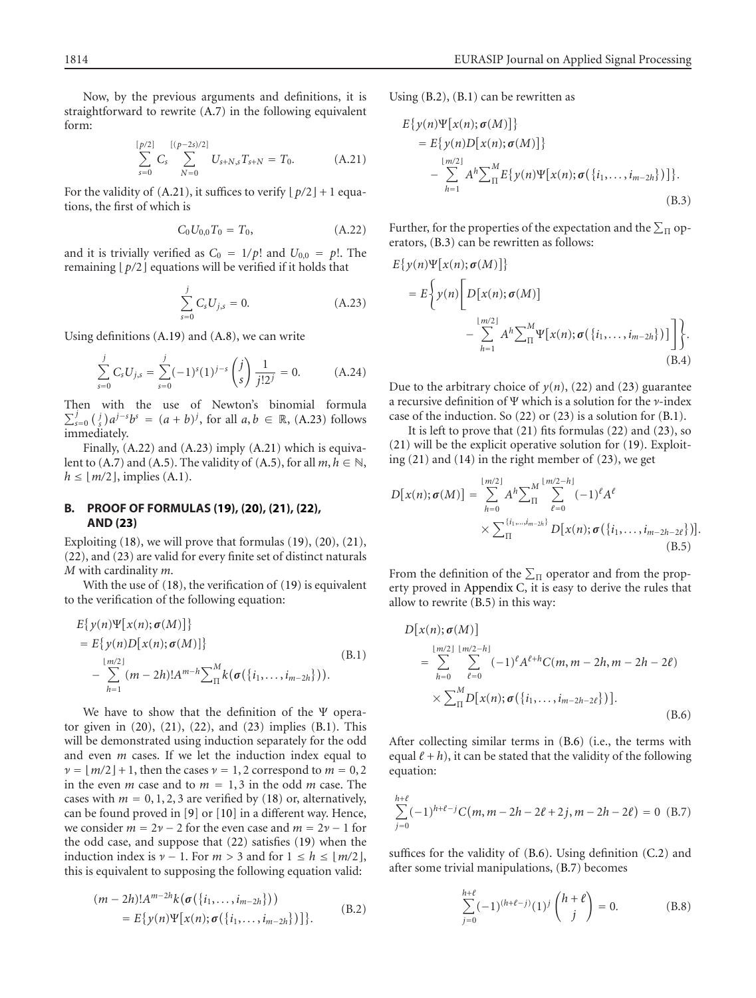<span id="page-7-1"></span>Now, by the previous arguments and definitions, it is straightforward to rewrite [\(A.7\)](#page-5-6) in the following equivalent form:

$$
\sum_{s=0}^{\lceil p/2 \rceil} C_s \sum_{N=0}^{\lceil (p-2s)/2 \rceil} U_{s+N,s} T_{s+N} = T_0.
$$
 (A.21)

<span id="page-7-3"></span>For the validity of  $(A.21)$ , it suffices to verify  $\lfloor p/2 \rfloor + 1$  equations, the first of which is

<span id="page-7-2"></span>
$$
C_0 U_{0,0} T_0 = T_0, \t\t (A.22)
$$

and it is trivially verified as  $C_0 = 1/p!$  and  $U_{0,0} = p!$ . The remaining  $\lfloor p/2 \rfloor$  equations will be verified if it holds that

$$
\sum_{s=0}^{j} C_{s} U_{j,s} = 0.
$$
\n(A.23)

Using definitions [\(A.19\)](#page-6-4) and [\(A.8\)](#page-5-10), we can write

$$
\sum_{s=0}^{j} C_s U_{j,s} = \sum_{s=0}^{j} (-1)^s (1)^{j-s} {j \choose s} \frac{1}{j!2^j} = 0.
$$
 (A.24)

Then with the use of Newton's binomial formula  $\sum_{s=0}^{j} {j \choose s} a^{j-s} b^{s} = (a + b)^{j}$ , for all  $a, b \in \mathbb{R}$ , [\(A.23\)](#page-7-2) follows immediately.

Finally, [\(A.22\)](#page-7-3) and [\(A.23\)](#page-7-2) imply [\(A.21\)](#page-7-1) which is equiva-lent to [\(A.7\)](#page-5-6) and [\(A.5\)](#page-5-4). The validity of (A.5), for all  $m, h \in \mathbb{N}$ ,  $h \leq \lfloor m/2 \rfloor$ , implies [\(A.1\)](#page-5-3).

## <span id="page-7-0"></span>**B. PROOF OF FORMULAS [\(19\)](#page-2-8), [\(20\)](#page-2-9), [\(21\)](#page-2-7), [\(22\)](#page-2-10), AND [\(23\)](#page-3-0)**

Exploiting  $(18)$ , we will prove that formulas  $(19)$ ,  $(20)$ ,  $(21)$ , [\(22\)](#page-2-10), and [\(23\)](#page-3-0) are valid for every finite set of distinct naturals *M* with cardinality *m*.

With the use of [\(18\)](#page-2-5), the verification of [\(19\)](#page-2-8) is equivalent to the verification of the following equation:

$$
E\{y(n)\Psi[x(n);\sigma(M)]\}
$$
  
=  $E\{y(n)D[x(n);\sigma(M)]\}$   

$$
- \sum_{h=1}^{\lfloor m/2 \rfloor} (m-2h)!A^{m-h} \sum_{\Pi}^{M} k(\sigma(\{i_1,...,i_{m-2h}\})).
$$
 (B.1)

We have to show that the definition of the Ψ operator given in [\(20\)](#page-2-9), [\(21\)](#page-2-7), [\(22\)](#page-2-10), and [\(23\)](#page-3-0) implies [\(B.1\)](#page-7-4). This will be demonstrated using induction separately for the odd and even *m* cases. If we let the induction index equal to  $\nu = \lfloor m/2 \rfloor + 1$ , then the cases  $\nu = 1, 2$  correspond to  $m = 0, 2$ in the even *m* case and to  $m = 1, 3$  in the odd *m* case. The cases with  $m = 0, 1, 2, 3$  are verified by [\(18\)](#page-2-5) or, alternatively, can be found proved in [\[9](#page-9-8)] or [\[10\]](#page-9-9) in a different way. Hence, we consider  $m = 2\nu - 2$  for the even case and  $m = 2\nu - 1$  for the odd case, and suppose that [\(22\)](#page-2-10) satisfies [\(19\)](#page-2-8) when the induction index is  $\nu - 1$ . For  $m > 3$  and for  $1 \le h \le \lfloor m/2 \rfloor$ , this is equivalent to supposing the following equation valid:

$$
(m-2h)!A^{m-2h}k(\sigma({i_1,...,i_{m-2h}})))
$$
  
=  $E{y(n)\Psi[x(n);\sigma({i_1,...,i_{m-2h}})]}.$  (B.2)

Using [\(B.2\)](#page-7-5), [\(B.1\)](#page-7-4) can be rewritten as

<span id="page-7-6"></span>
$$
E\{y(n)\Psi[x(n);\sigma(M)]\}
$$
  
=  $E\{y(n)D[x(n);\sigma(M)]\}$   

$$
- \sum_{h=1}^{\lfloor m/2 \rfloor} A^h \sum_{\Pi}^M E\{y(n)\Psi[x(n);\sigma(\{i_1,\ldots,i_{m-2h}\})]\}.
$$
  
(B.3)

Further, for the properties of the expectation and the  $\Sigma_{\Pi}$  operators, [\(B.3\)](#page-7-6) can be rewritten as follows:

$$
E\{y(n)\Psi[x(n);\sigma(M)]\}
$$
  
=  $E\left\{y(n)\left[D[x(n);\sigma(M)]\right.\right.$   

$$
-\sum_{h=1}^{\lfloor m/2\rfloor}A^h\sum_{\Pi}^M\Psi[x(n);\sigma(\{i_1,\ldots,i_{m-2h}\})]\right\}.
$$
  
(B.4)

Due to the arbitrary choice of  $y(n)$ , [\(22\)](#page-2-10) and [\(23\)](#page-3-0) guarantee a recursive definition of Ψ which is a solution for the *ν*-index case of the induction. So [\(22\)](#page-2-10) or [\(23\)](#page-3-0) is a solution for [\(B.1\)](#page-7-4).

It is left to prove that [\(21\)](#page-2-7) fits formulas [\(22\)](#page-2-10) and [\(23\)](#page-3-0), so [\(21\)](#page-2-7) will be the explicit operative solution for [\(19\)](#page-2-8). Exploiting [\(21\)](#page-2-7) and [\(14\)](#page-2-0) in the right member of [\(23\)](#page-3-0), we get

<span id="page-7-7"></span>
$$
D[x(n); \sigma(M)] = \sum_{h=0}^{\lfloor m/2 \rfloor} A^h \sum_{\Pi}^{M} \sum_{\ell=0}^{\lfloor m/2-h \rfloor} (-1)^{\ell} A^{\ell}
$$
  
 
$$
\times \sum_{\Pi} \sum_{\ell=0}^{\{i_1, \dots, i_{m-2h}\}} D[x(n); \sigma(\{i_1, \dots, i_{m-2h-2\ell}\})].
$$
 (B.5)

<span id="page-7-4"></span>From the definition of the  $\Sigma_{\Pi}$  operator and from the property proved in [Appendix C,](#page-8-0) it is easy to derive the rules that allow to rewrite [\(B.5\)](#page-7-7) in this way:

<span id="page-7-8"></span>
$$
D[x(n); \sigma(M)]
$$
  
=  $\sum_{h=0}^{\lfloor m/2 \rfloor} \sum_{\ell=0}^{\lfloor m/2-h \rfloor} (-1)^{\ell} A^{\ell+h} C(m, m-2h, m-2h-2\ell)$   
 $\times \sum_{\Pi}^{M} D[x(n); \sigma({i_1, ..., i_{m-2h-2\ell}})].$  (B.6)

<span id="page-7-9"></span>After collecting similar terms in [\(B.6\)](#page-7-8) (i.e., the terms with equal  $l + h$ ), it can be stated that the validity of the following equation:

$$
\sum_{j=0}^{h+\ell} (-1)^{h+\ell-j} C(m, m-2h-2\ell+2j, m-2h-2\ell) = 0
$$
 (B.7)

<span id="page-7-5"></span>suffices for the validity of [\(B.6\)](#page-7-8). Using definition [\(C.2\)](#page-8-1) and after some trivial manipulations, [\(B.7\)](#page-7-9) becomes

<span id="page-7-10"></span>
$$
\sum_{j=0}^{h+\ell} (-1)^{(h+\ell-j)} (1)^j \binom{h+\ell}{j} = 0.
$$
 (B.8)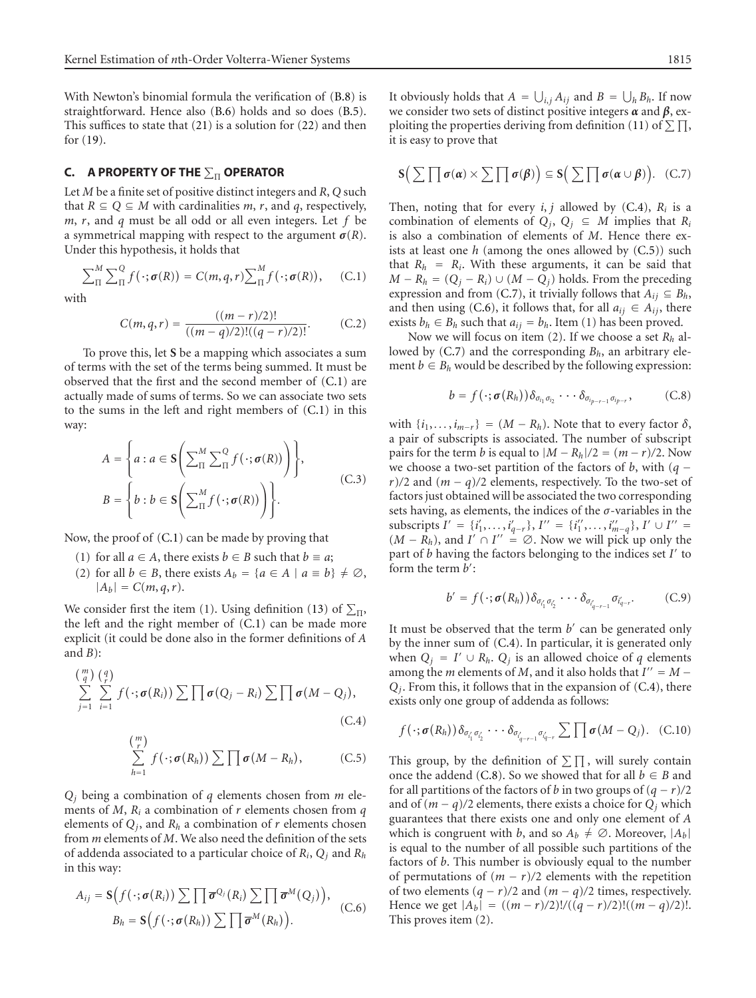With Newton's binomial formula the verification of [\(B.8\)](#page-7-10) is straightforward. Hence also [\(B.6\)](#page-7-8) holds and so does [\(B.5\)](#page-7-7). This suffices to state that [\(21\)](#page-2-7) is a solution for [\(22\)](#page-2-10) and then for [\(19\)](#page-2-8).

### <span id="page-8-0"></span>**C. A PROPERTY OF THE**  $\sum_{\Pi}$  **OPERATOR**

Let *M* be a finite set of positive distinct integers and *R*, *Q* such that *R* ⊆ *Q* ⊆ *M* with cardinalities *m*, *r*, and *q*, respectively, *m*, *r*, and *q* must be all odd or all even integers. Let *f* be a symmetrical mapping with respect to the argument  $\sigma(R)$ . Under this hypothesis, it holds that

<span id="page-8-2"></span>
$$
\sum_{\Pi}^{M} \sum_{\Pi}^{Q} f(\cdot; \sigma(R)) = C(m, q, r) \sum_{\Pi}^{M} f(\cdot; \sigma(R)), \quad (C.1)
$$

<span id="page-8-1"></span>with

$$
C(m,q,r) = \frac{((m-r)/2)!}{((m-q)/2)!((q-r)/2)!}.
$$
 (C.2)

To prove this, let **S** be a mapping which associates a sum of terms with the set of the terms being summed. It must be observed that the first and the second member of [\(C.1\)](#page-8-2) are actually made of sums of terms. So we can associate two sets to the sums in the left and right members of [\(C.1\)](#page-8-2) in this way:

$$
A = \left\{ a : a \in \mathbf{S} \bigg( \sum_{\Pi}^{M} \sum_{\Pi}^{Q} f(\cdot; \sigma(R)) \bigg) \right\},
$$
  

$$
B = \left\{ b : b \in \mathbf{S} \bigg( \sum_{\Pi}^{M} f(\cdot; \sigma(R)) \bigg) \right\}.
$$
 (C.3)

Now, the proof of [\(C.1\)](#page-8-2) can be made by proving that

- (1) for all  $a \in A$ , there exists  $b \in B$  such that  $b \equiv a$ ;
- (2) for all  $b \in B$ , there exists  $A_b = \{a \in A \mid a \equiv b\} \neq \emptyset$ ,  $|A_b| = C(m, q, r).$

We consider first the item (1). Using definition [\(13\)](#page-2-3) of  $\Sigma_{\Pi}$ , the left and the right member of [\(C.1\)](#page-8-2) can be made more explicit (it could be done also in the former definitions of *A* and  $B$ ):

$$
\sum_{j=1}^{m} \sum_{i=1}^{q} f(\cdot; \sigma(R_i)) \sum \prod \sigma(Q_j - R_i) \sum \prod \sigma(M - Q_j),
$$
\n(C.4)

<span id="page-8-4"></span><span id="page-8-3"></span>
$$
\sum_{h=1}^{m} f(\cdot; \sigma(R_h)) \sum \prod \sigma(M - R_h), \qquad (C.5)
$$

*Qj* being a combination of *q* elements chosen from *m* elements of *M*, *Ri* a combination of *r* elements chosen from *q* elements of  $Q_i$ , and  $R_h$  a combination of  $r$  elements chosen from *m* elements of *M*. We also need the definition of the sets of addenda associated to a particular choice of *Ri*, *Qj* and *Rh* in this way:

<span id="page-8-6"></span>
$$
A_{ij} = \mathbf{S}\Big(f(\cdot;\boldsymbol{\sigma}(R_i))\sum \prod \overline{\boldsymbol{\sigma}}^{Q_j}(R_i)\sum \prod \overline{\boldsymbol{\sigma}}^{M}(Q_j)\Big),
$$
  
\n
$$
B_h = \mathbf{S}\Big(f(\cdot;\boldsymbol{\sigma}(R_h))\sum \prod \overline{\boldsymbol{\sigma}}^{M}(R_h)\Big).
$$
 (C.6)

<span id="page-8-5"></span>It obviously holds that  $A = \bigcup_{i,j} A_{ij}$  and  $B = \bigcup_h B_h$ . If now we consider two sets of distinct positive integers *α* and *β*, ex-ploiting the properties deriving from definition [\(11\)](#page-2-4) of  $\Sigma \prod$ , it is easy to prove that

$$
\mathbf{S}\Big(\sum\prod \sigma(\alpha)\times \sum\prod \sigma(\beta)\Big)\subseteq \mathbf{S}\Big(\sum\prod \sigma(\alpha\cup\beta)\Big). \quad (\text{C.7})
$$

Then, noting that for every  $i, j$  allowed by  $(C.4)$ ,  $R_i$  is a combination of elements of  $Q_i$ ,  $Q_i \subseteq M$  implies that  $R_i$ is also a combination of elements of *M*. Hence there exists at least one *h* (among the ones allowed by [\(C.5\)](#page-8-4)) such that  $R_h$  =  $R_i$ . With these arguments, it can be said that *M* −  $R_h$  = ( $Q_i$  −  $R_i$ ) ∪ (*M* −  $Q_i$ ) holds. From the preceding expression and from [\(C.7\)](#page-8-5), it trivially follows that  $A_{ij} \subseteq B_h$ , and then using [\(C.6\)](#page-8-6), it follows that, for all  $a_{ij} \in A_{ij}$ , there exists  $b_h \in B_h$  such that  $a_{ij} = b_h$ . Item (1) has been proved.

Now we will focus on item (2). If we choose a set *Rh* al-lowed by [\(C.7\)](#page-8-5) and the corresponding  $B_h$ , an arbitrary element  $b \in B_h$  would be described by the following expression:

<span id="page-8-7"></span>
$$
b = f(\cdot; \sigma(R_h)) \delta_{\sigma_{i_1} \sigma_{i_2}} \cdots \delta_{\sigma_{i_{p-r-1}} \sigma_{i_{p-r}}}, \qquad (C.8)
$$

with  $\{i_1, \ldots, i_{m-r}\} = (M - R_h)$ . Note that to every factor  $\delta$ , a pair of subscripts is associated. The number of subscript pairs for the term *b* is equal to  $|M - R_h|/2 = (m - r)/2$ . Now we choose a two-set partition of the factors of *<sup>b</sup>*, with (*<sup>q</sup>* <sup>−</sup> *<sup>r</sup>*)*/*2 and (*<sup>m</sup>* <sup>−</sup> *<sup>q</sup>*)*/*2 elements, respectively. To the two-set of factors just obtained will be associated the two corresponding sets having, as elements, the indices of the *σ*-variables in the  $\text{subscripts } I' = \{i'_1, \ldots, i'_{q-r}\}, I'' = \{i''_1, \ldots, i''_{m-q}\}, I' \cup I'' =$  $(M - R_h)$ , and  $I' \cap I'' = \emptyset$ . Now we will pick up only the part of *b* having the factors belonging to the indices set *I* to form the term *b* :

$$
b' = f(\cdot; \sigma(R_h)) \delta_{\sigma_{i'_1} \sigma_{i'_2}} \cdots \delta_{\sigma_{i'_{q-r-1}} \sigma_{i'_{q-r}}}.
$$
 (C.9)

It must be observed that the term *b'* can be generated only by the inner sum of [\(C.4\)](#page-8-3). In particular, it is generated only when  $Q_j = I' \cup R_h$ .  $Q_j$  is an allowed choice of *q* elements among the *m* elements of *M*, and it also holds that  $I'' = M -$ *Qj*. From this, it follows that in the expansion of [\(C.4\)](#page-8-3), there exists only one group of addenda as follows:

$$
f(\cdot;\boldsymbol{\sigma}(R_h))\delta_{\sigma'_{i_1}\sigma'_{i_2}}\cdots\delta_{\sigma'_{i_{q-r-1}}\sigma'_{i_{q-r}}}\sum \prod \boldsymbol{\sigma}(M-Q_j). (C.10)
$$

This group, by the definition of  $\Sigma \prod$ , will surely contain once the addend [\(C.8\)](#page-8-7). So we showed that for all  $b \in B$  and for all partitions of the factors of *b* in two groups of  $(q - r)/2$ and of  $(m - q)/2$  elements, there exists a choice for  $Q_i$  which guarantees that there exists one and only one element of *A* which is congruent with *b*, and so  $A_b \neq \emptyset$ . Moreover,  $|A_b|$ is equal to the number of all possible such partitions of the factors of *b*. This number is obviously equal to the number of permutations of  $(m - r)/2$  elements with the repetition of two elements  $(q - r)/2$  and  $(m - q)/2$  times, respectively. Hence we get  $|A_b| = ((m - r)/2)!/((q - r)/2)!((m - q)/2)!$ . This proves item (2).